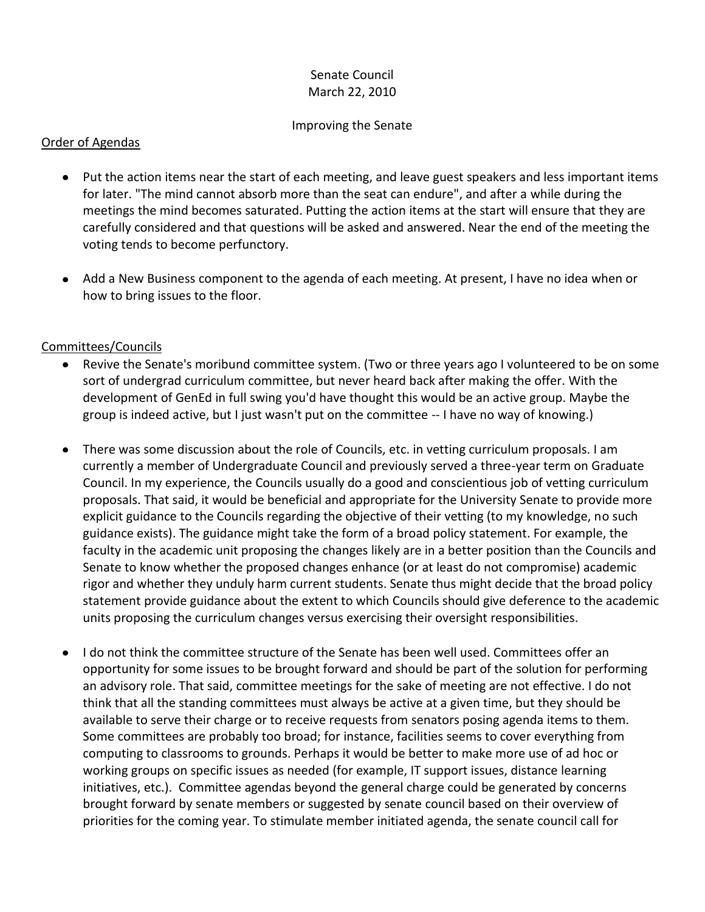# Senate Council March 22, 2010

#### Improving the Senate

#### Order of Agendas

- Put the action items near the start of each meeting, and leave guest speakers and less important items for later. "The mind cannot absorb more than the seat can endure", and after a while during the meetings the mind becomes saturated. Putting the action items at the start will ensure that they are carefully considered and that questions will be asked and answered. Near the end of the meeting the voting tends to become perfunctory.
- Add a New Business component to the agenda of each meeting. At present, I have no idea when or how to bring issues to the floor.

# Committees/Councils

- Revive the Senate's moribund committee system. (Two or three years ago I volunteered to be on some sort of undergrad curriculum committee, but never heard back after making the offer. With the development of GenEd in full swing you'd have thought this would be an active group. Maybe the group is indeed active, but I just wasn't put on the committee -- I have no way of knowing.)
- There was some discussion about the role of Councils, etc. in vetting curriculum proposals. I am currently a member of Undergraduate Council and previously served a three-year term on Graduate Council. In my experience, the Councils usually do a good and conscientious job of vetting curriculum proposals. That said, it would be beneficial and appropriate for the University Senate to provide more explicit guidance to the Councils regarding the objective of their vetting (to my knowledge, no such guidance exists). The guidance might take the form of a broad policy statement. For example, the faculty in the academic unit proposing the changes likely are in a better position than the Councils and Senate to know whether the proposed changes enhance (or at least do not compromise) academic rigor and whether they unduly harm current students. Senate thus might decide that the broad policy statement provide guidance about the extent to which Councils should give deference to the academic units proposing the curriculum changes versus exercising their oversight responsibilities.
- I do not think the committee structure of the Senate has been well used. Committees offer an opportunity for some issues to be brought forward and should be part of the solution for performing an advisory role. That said, committee meetings for the sake of meeting are not effective. I do not think that all the standing committees must always be active at a given time, but they should be available to serve their charge or to receive requests from senators posing agenda items to them. Some committees are probably too broad; for instance, facilities seems to cover everything from computing to classrooms to grounds. Perhaps it would be better to make more use of ad hoc or working groups on specific issues as needed (for example, IT support issues, distance learning initiatives, etc.). Committee agendas beyond the general charge could be generated by concerns brought forward by senate members or suggested by senate council based on their overview of priorities for the coming year. To stimulate member initiated agenda, the senate council call for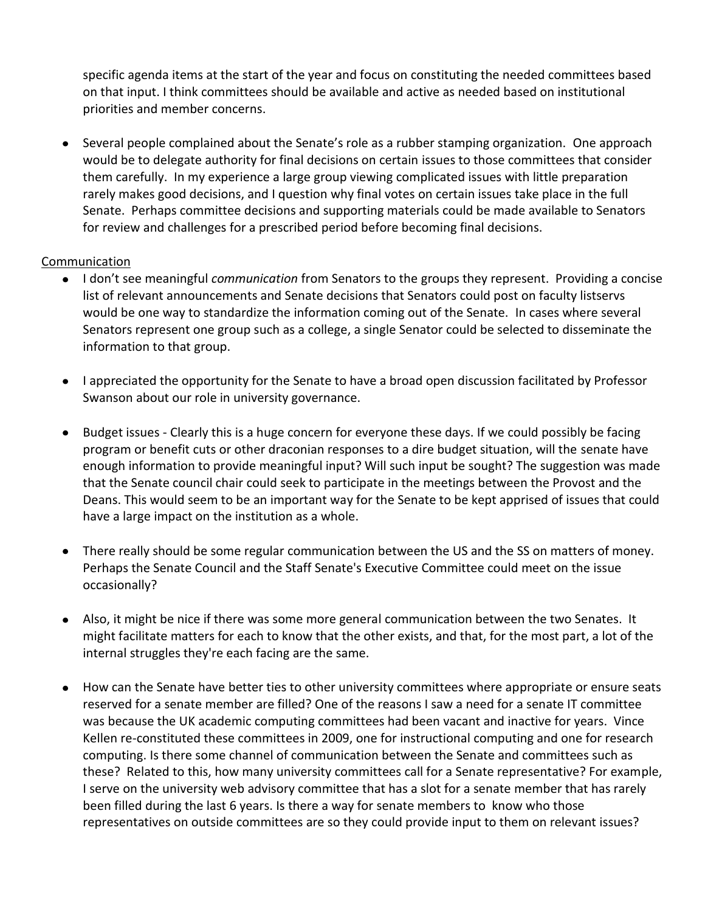specific agenda items at the start of the year and focus on constituting the needed committees based on that input. I think committees should be available and active as needed based on institutional priorities and member concerns.

• Several people complained about the Senate's role as a rubber stamping organization. One approach would be to delegate authority for final decisions on certain issues to those committees that consider them carefully. In my experience a large group viewing complicated issues with little preparation rarely makes good decisions, and I question why final votes on certain issues take place in the full Senate. Perhaps committee decisions and supporting materials could be made available to Senators for review and challenges for a prescribed period before becoming final decisions.

### Communication

- **I** don't see meaningful *communication* from Senators to the groups they represent. Providing a concise list of relevant announcements and Senate decisions that Senators could post on faculty listservs would be one way to standardize the information coming out of the Senate. In cases where several Senators represent one group such as a college, a single Senator could be selected to disseminate the information to that group.
- I appreciated the opportunity for the Senate to have a broad open discussion facilitated by Professor Swanson about our role in university governance.
- $\bullet$ Budget issues - Clearly this is a huge concern for everyone these days. If we could possibly be facing program or benefit cuts or other draconian responses to a dire budget situation, will the senate have enough information to provide meaningful input? Will such input be sought? The suggestion was made that the Senate council chair could seek to participate in the meetings between the Provost and the Deans. This would seem to be an important way for the Senate to be kept apprised of issues that could have a large impact on the institution as a whole.
- There really should be some regular communication between the US and the SS on matters of money. Perhaps the Senate Council and the Staff Senate's Executive Committee could meet on the issue occasionally?
- Also, it might be nice if there was some more general communication between the two Senates. It might facilitate matters for each to know that the other exists, and that, for the most part, a lot of the internal struggles they're each facing are the same.
- How can the Senate have better ties to other university committees where appropriate or ensure seats  $\bullet$ reserved for a senate member are filled? One of the reasons I saw a need for a senate IT committee was because the UK academic computing committees had been vacant and inactive for years. Vince Kellen re-constituted these committees in 2009, one for instructional computing and one for research computing. Is there some channel of communication between the Senate and committees such as these? Related to this, how many university committees call for a Senate representative? For example, I serve on the university web advisory committee that has a slot for a senate member that has rarely been filled during the last 6 years. Is there a way for senate members to know who those representatives on outside committees are so they could provide input to them on relevant issues?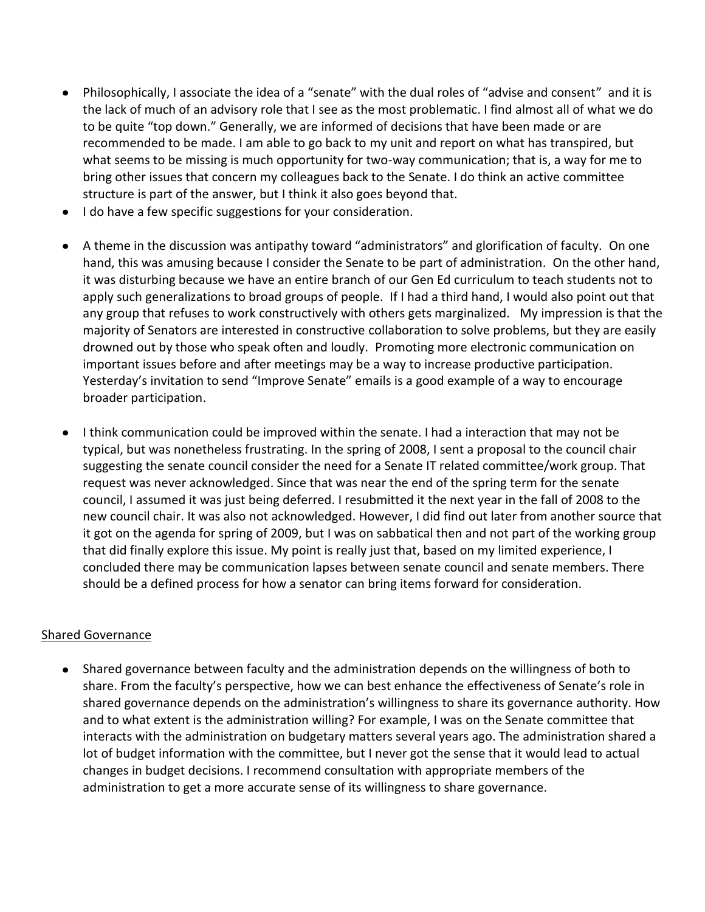- Philosophically, I associate the idea of a "senate" with the dual roles of "advise and consent" and it is the lack of much of an advisory role that I see as the most problematic. I find almost all of what we do to be quite "top down." Generally, we are informed of decisions that have been made or are recommended to be made. I am able to go back to my unit and report on what has transpired, but what seems to be missing is much opportunity for two-way communication; that is, a way for me to bring other issues that concern my colleagues back to the Senate. I do think an active committee structure is part of the answer, but I think it also goes beyond that.
- I do have a few specific suggestions for your consideration.
- A theme in the discussion was antipathy toward "administrators" and glorification of faculty. On one hand, this was amusing because I consider the Senate to be part of administration. On the other hand, it was disturbing because we have an entire branch of our Gen Ed curriculum to teach students not to apply such generalizations to broad groups of people. If I had a third hand, I would also point out that any group that refuses to work constructively with others gets marginalized. My impression is that the majority of Senators are interested in constructive collaboration to solve problems, but they are easily drowned out by those who speak often and loudly. Promoting more electronic communication on important issues before and after meetings may be a way to increase productive participation. Yesterday's invitation to send "Improve Senate" emails is a good example of a way to encourage broader participation.
- I think communication could be improved within the senate. I had a interaction that may not be typical, but was nonetheless frustrating. In the spring of 2008, I sent a proposal to the council chair suggesting the senate council consider the need for a Senate IT related committee/work group. That request was never acknowledged. Since that was near the end of the spring term for the senate council, I assumed it was just being deferred. I resubmitted it the next year in the fall of 2008 to the new council chair. It was also not acknowledged. However, I did find out later from another source that it got on the agenda for spring of 2009, but I was on sabbatical then and not part of the working group that did finally explore this issue. My point is really just that, based on my limited experience, I concluded there may be communication lapses between senate council and senate members. There should be a defined process for how a senator can bring items forward for consideration.

# Shared Governance

 $\bullet$ Shared governance between faculty and the administration depends on the willingness of both to share. From the faculty's perspective, how we can best enhance the effectiveness of Senate's role in shared governance depends on the administration's willingness to share its governance authority. How and to what extent is the administration willing? For example, I was on the Senate committee that interacts with the administration on budgetary matters several years ago. The administration shared a lot of budget information with the committee, but I never got the sense that it would lead to actual changes in budget decisions. I recommend consultation with appropriate members of the administration to get a more accurate sense of its willingness to share governance.